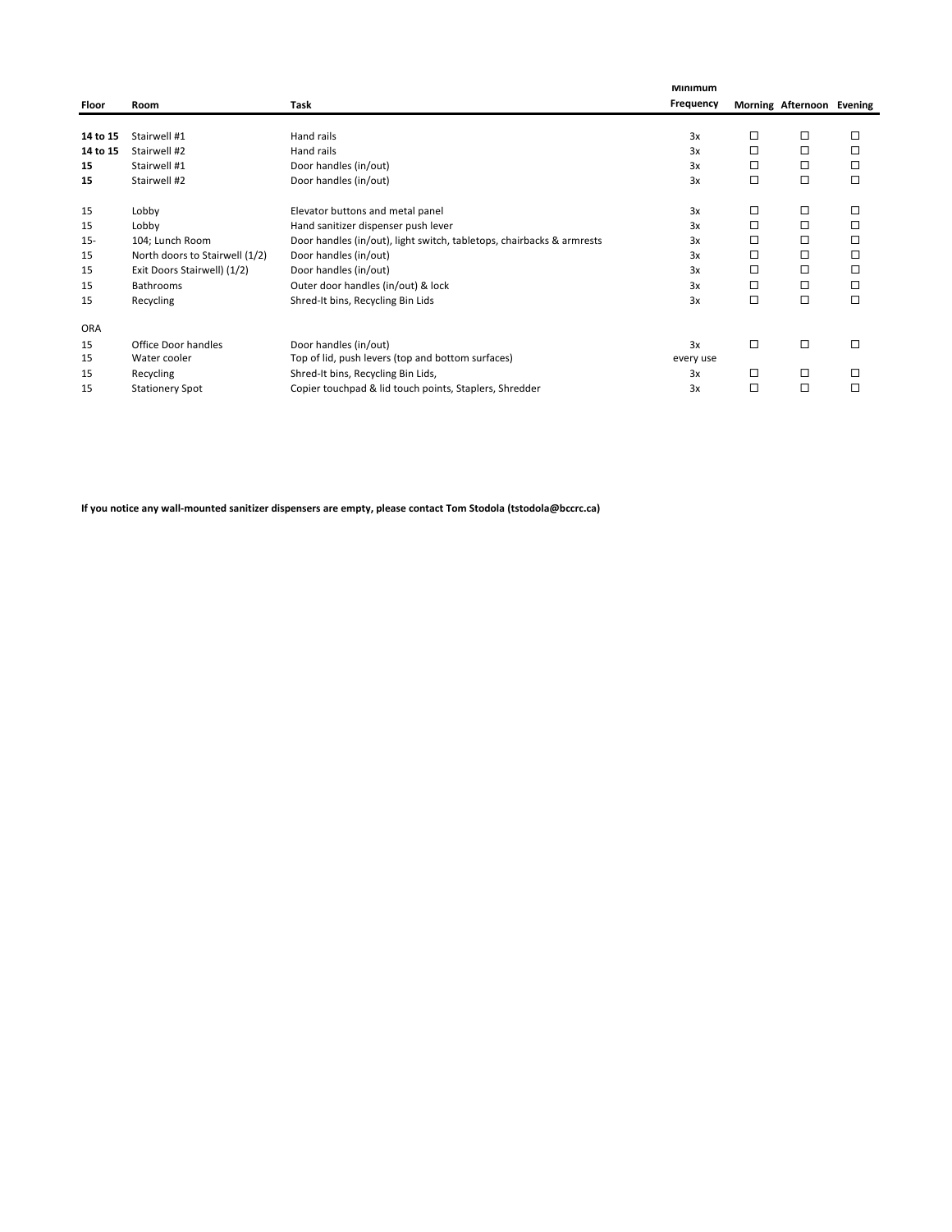|            | Room                           |                                                                       | Minimum<br>Frequency |        | Morning Afternoon Evening |        |
|------------|--------------------------------|-----------------------------------------------------------------------|----------------------|--------|---------------------------|--------|
| Floor      |                                | Task                                                                  |                      |        |                           |        |
| 14 to 15   | Stairwell #1                   | Hand rails                                                            | 3x                   | □      | □                         | □      |
| 14 to 15   | Stairwell #2                   | Hand rails                                                            | 3x                   | □      | □                         | □      |
| 15         | Stairwell #1                   | Door handles (in/out)                                                 | 3x                   | □      | □                         | □      |
| 15         | Stairwell #2                   | Door handles (in/out)                                                 | 3x                   | □      | □                         | □      |
| 15         | Lobby                          | Elevator buttons and metal panel                                      | 3x                   | □      | □                         | □      |
| 15         | Lobby                          | Hand sanitizer dispenser push lever                                   | 3x                   | □      | □                         | □      |
| $15 -$     | 104; Lunch Room                | Door handles (in/out), light switch, tabletops, chairbacks & armrests | 3x                   | □      | □                         | □      |
| 15         | North doors to Stairwell (1/2) | Door handles (in/out)                                                 | 3x                   | □      | □                         | □      |
| 15         | Exit Doors Stairwell) (1/2)    | Door handles (in/out)                                                 | 3x                   | □      | □                         | □      |
| 15         | <b>Bathrooms</b>               | Outer door handles (in/out) & lock                                    | 3x                   | □      | □                         | □      |
| 15         | Recycling                      | Shred-It bins, Recycling Bin Lids                                     | 3x                   | $\Box$ | □                         | □      |
| <b>ORA</b> |                                |                                                                       |                      |        |                           |        |
| 15         | Office Door handles            | Door handles (in/out)                                                 | 3x                   | □      | □                         | $\Box$ |
| 15         | Water cooler                   | Top of lid, push levers (top and bottom surfaces)                     | every use            |        |                           |        |
| 15         | Recycling                      | Shred-It bins, Recycling Bin Lids,                                    | 3x                   | □      | □                         | □      |
| 15         | <b>Stationery Spot</b>         | Copier touchpad & lid touch points, Staplers, Shredder                | 3x                   | □      | □                         | $\Box$ |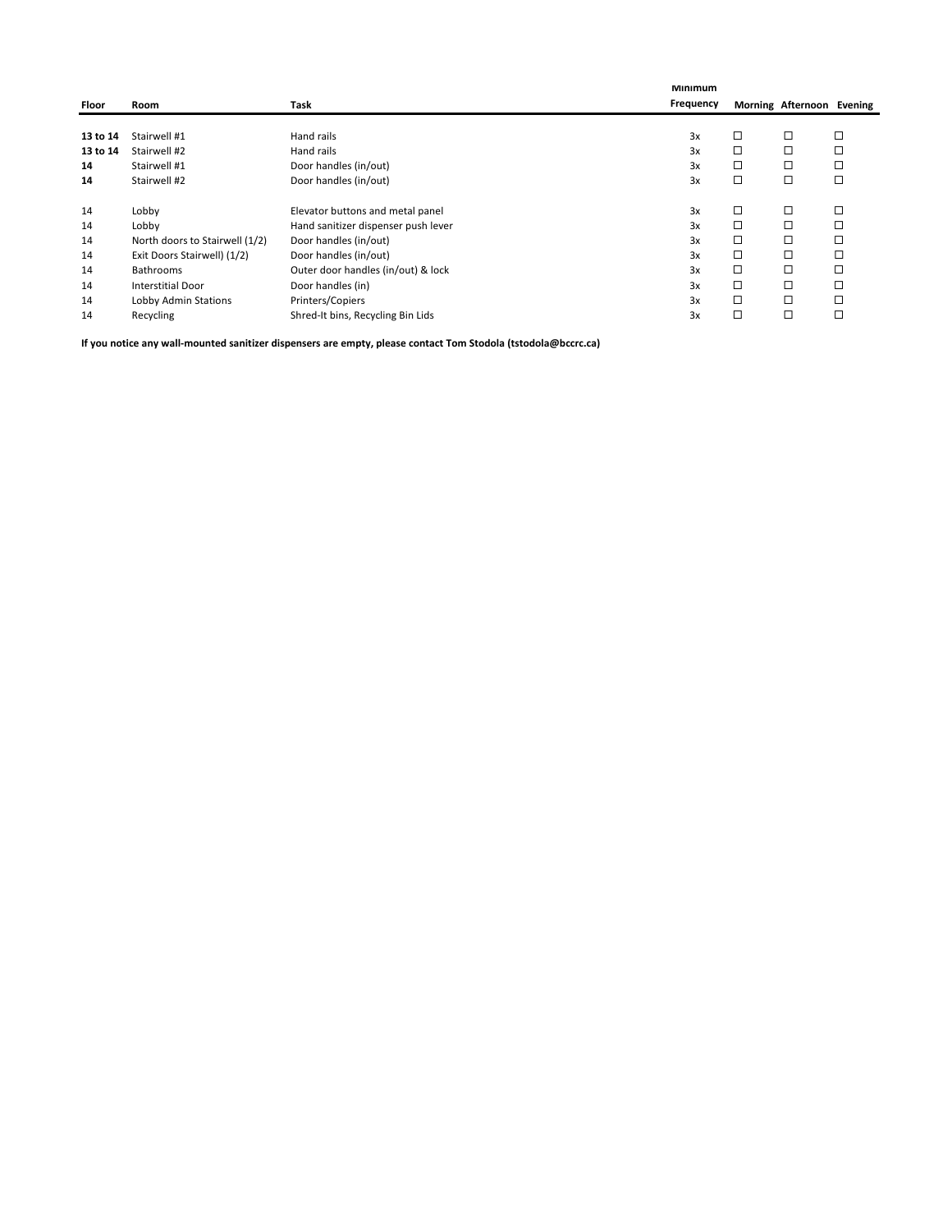|          |                                |                                     | <b>Minimum</b> |   |                           |   |
|----------|--------------------------------|-------------------------------------|----------------|---|---------------------------|---|
| Floor    | Room                           | Task                                | Frequency      |   | Morning Afternoon Evening |   |
|          |                                |                                     |                |   |                           |   |
| 13 to 14 | Stairwell #1                   | Hand rails                          | 3x             | □ | □                         | □ |
| 13 to 14 | Stairwell #2                   | Hand rails                          | 3x             | □ | □                         |   |
| 14       | Stairwell #1                   | Door handles (in/out)               | 3x             | □ | □                         | □ |
| 14       | Stairwell #2                   | Door handles (in/out)               | 3x             | □ | □                         | □ |
|          | Lobby                          | Elevator buttons and metal panel    | 3x             | □ | $\Box$                    | □ |
| 14       |                                |                                     |                |   |                           |   |
| 14       | Lobby                          | Hand sanitizer dispenser push lever | 3x             | □ | □                         |   |
| 14       | North doors to Stairwell (1/2) | Door handles (in/out)               | 3x             | □ | □                         | □ |
| 14       | Exit Doors Stairwell) (1/2)    | Door handles (in/out)               | 3x             | □ | □                         | □ |
| 14       | <b>Bathrooms</b>               | Outer door handles (in/out) & lock  | 3x             | □ | □                         | □ |
| 14       | <b>Interstitial Door</b>       | Door handles (in)                   | 3x             | □ | □                         | □ |
| 14       | Lobby Admin Stations           | Printers/Copiers                    | 3x             | □ | □                         | □ |
| 14       | Recycling                      | Shred-It bins, Recycling Bin Lids   | 3x             | □ | □                         | □ |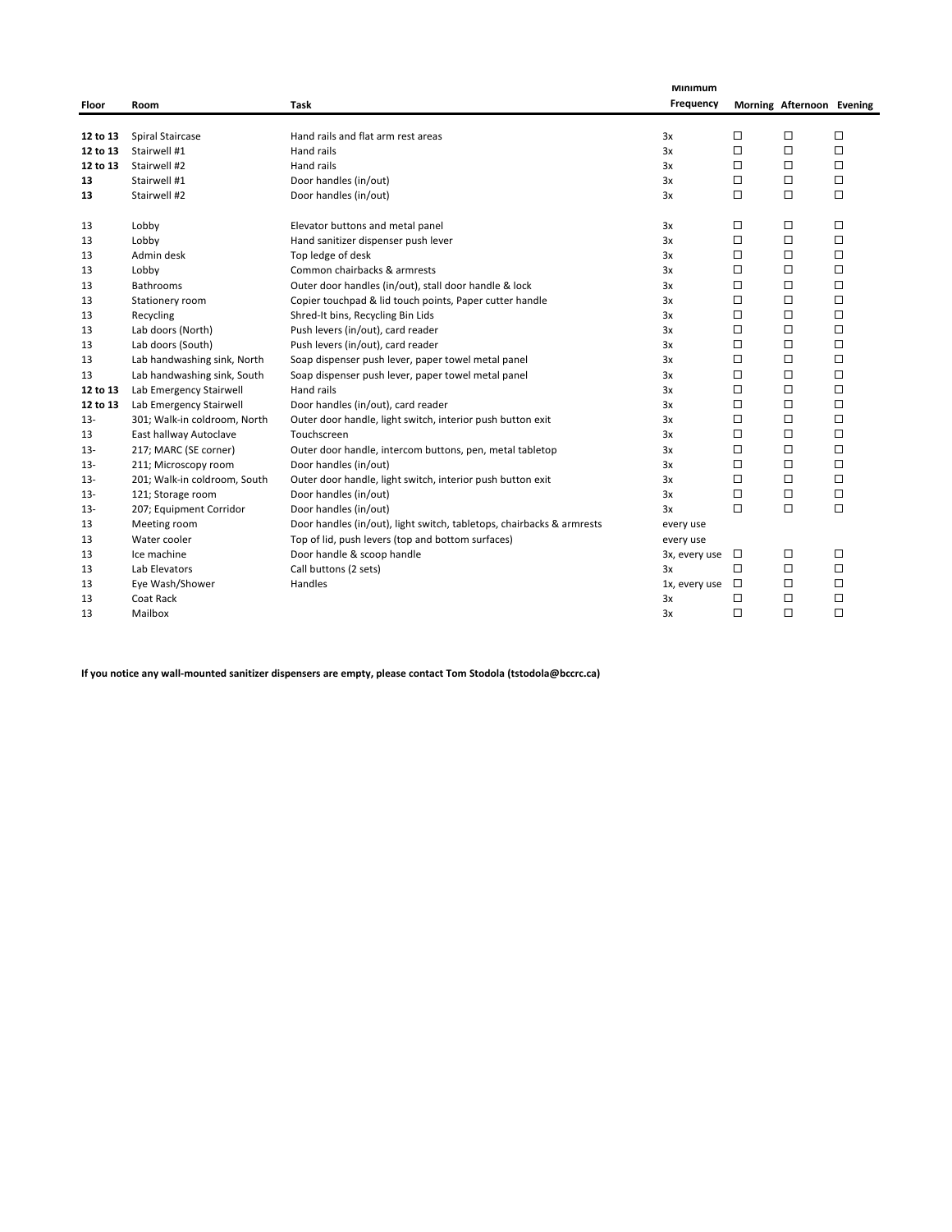|          |                              |                                                                       | Minimum       |        |                           |        |
|----------|------------------------------|-----------------------------------------------------------------------|---------------|--------|---------------------------|--------|
| Floor    | Room                         | Task                                                                  | Frequency     |        | Morning Afternoon Evening |        |
|          |                              |                                                                       |               |        |                           |        |
| 12 to 13 | Spiral Staircase             | Hand rails and flat arm rest areas                                    | 3x            | □      | □                         | □      |
| 12 to 13 | Stairwell #1                 | Hand rails                                                            | 3x            | □      | □                         | □      |
| 12 to 13 | Stairwell #2                 | Hand rails                                                            | 3x            | □      | $\Box$                    | □      |
| 13       | Stairwell #1                 | Door handles (in/out)                                                 | 3x            | □      | □                         | □      |
| 13       | Stairwell #2                 | Door handles (in/out)                                                 | 3x            | □      | $\Box$                    | □      |
| 13       | Lobby                        | Elevator buttons and metal panel                                      | 3x            | □      | □                         | □      |
| 13       | Lobby                        | Hand sanitizer dispenser push lever                                   | 3x            | □      | $\Box$                    | □      |
| 13       | Admin desk                   | Top ledge of desk                                                     | 3x            | □      | $\Box$                    | □      |
| 13       | Lobby                        | Common chairbacks & armrests                                          | 3x            | □      | □                         | □      |
| 13       | <b>Bathrooms</b>             | Outer door handles (in/out), stall door handle & lock                 | 3x            | □      | □                         | □      |
| 13       | Stationery room              | Copier touchpad & lid touch points, Paper cutter handle               | 3x            | □      | $\Box$                    | □      |
| 13       | Recycling                    | Shred-It bins, Recycling Bin Lids                                     | 3x            | □      | □                         | □      |
| 13       | Lab doors (North)            | Push levers (in/out), card reader                                     | 3x            | □      | □                         | □      |
| 13       | Lab doors (South)            | Push levers (in/out), card reader                                     | 3x            | □      | $\Box$                    | $\Box$ |
| 13       | Lab handwashing sink, North  | Soap dispenser push lever, paper towel metal panel                    | 3x            | $\Box$ | $\Box$                    | □      |
| 13       | Lab handwashing sink, South  | Soap dispenser push lever, paper towel metal panel                    | 3x            | $\Box$ | $\Box$                    | □      |
| 12 to 13 | Lab Emergency Stairwell      | Hand rails                                                            | 3x            | $\Box$ | $\Box$                    | □      |
| 12 to 13 | Lab Emergency Stairwell      | Door handles (in/out), card reader                                    | 3x            | □      | $\Box$                    | □      |
| $13 -$   | 301; Walk-in coldroom, North | Outer door handle, light switch, interior push button exit            | 3x            | □      | □                         | □      |
| 13       | East hallway Autoclave       | Touchscreen                                                           | 3x            | □      | $\Box$                    | □      |
| $13 -$   | 217; MARC (SE corner)        | Outer door handle, intercom buttons, pen, metal tabletop              | 3x            | □      | $\Box$                    | □      |
| $13 -$   | 211; Microscopy room         | Door handles (in/out)                                                 | 3x            | □      | $\Box$                    | □      |
| $13 -$   | 201; Walk-in coldroom, South | Outer door handle, light switch, interior push button exit            | 3x            | □      | □                         | □      |
| $13 -$   | 121; Storage room            | Door handles (in/out)                                                 | 3x            | $\Box$ | $\Box$                    | $\Box$ |
| $13 -$   | 207; Equipment Corridor      | Door handles (in/out)                                                 | 3x            | $\Box$ | $\Box$                    | $\Box$ |
| 13       | Meeting room                 | Door handles (in/out), light switch, tabletops, chairbacks & armrests | every use     |        |                           |        |
| 13       | Water cooler                 | Top of lid, push levers (top and bottom surfaces)                     | every use     |        |                           |        |
| 13       | Ice machine                  | Door handle & scoop handle                                            | 3x, every use | $\Box$ | □                         | □      |
| 13       | Lab Elevators                | Call buttons (2 sets)                                                 | 3x            | $\Box$ | $\Box$                    | □      |
| 13       | Eye Wash/Shower              | Handles                                                               | 1x, every use | $\Box$ | □                         | □      |
| 13       | Coat Rack                    |                                                                       | 3x            | □      | $\Box$                    | □      |
| 13       | Mailbox                      |                                                                       | 3x            | □      | □                         | □      |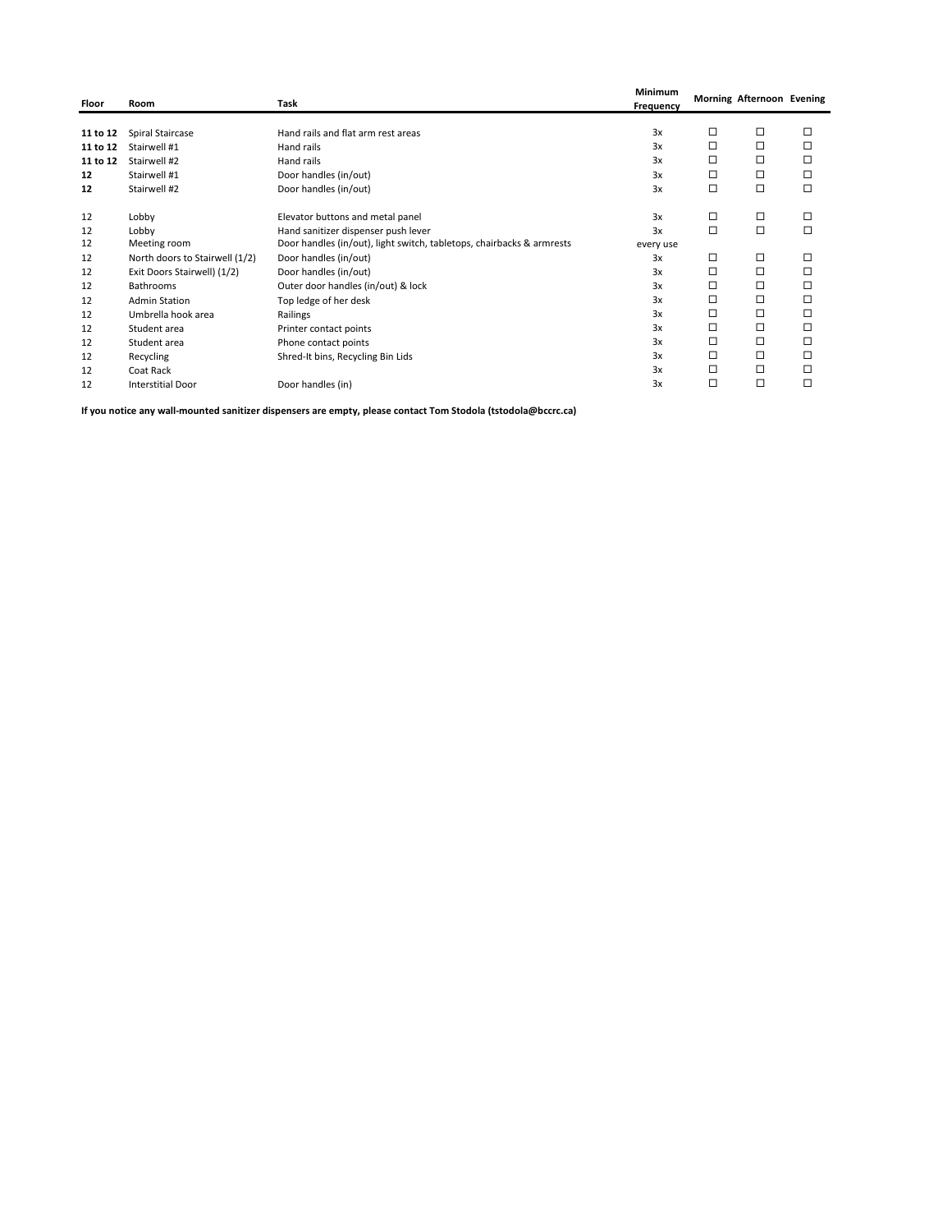| Floor    | Room                           | Task                                                                  | Minimum<br>Frequency |        | Morning Afternoon Evening |        |
|----------|--------------------------------|-----------------------------------------------------------------------|----------------------|--------|---------------------------|--------|
|          |                                |                                                                       |                      |        |                           |        |
| 11 to 12 | Spiral Staircase               | Hand rails and flat arm rest areas                                    | 3x                   | □      | $\Box$                    | □      |
| 11 to 12 | Stairwell #1                   | Hand rails                                                            | 3x                   | □      | $\Box$                    | $\Box$ |
| 11 to 12 | Stairwell #2                   | Hand rails                                                            | 3x                   | □      | □                         | □      |
| 12       | Stairwell #1                   | Door handles (in/out)                                                 | 3x                   | □      | □                         | □      |
| 12       | Stairwell #2                   | Door handles (in/out)                                                 | 3x                   | $\Box$ | $\Box$                    | $\Box$ |
| 12       | Lobby                          | Elevator buttons and metal panel                                      | 3x                   | □      | $\Box$                    | П      |
| 12       | Lobby                          | Hand sanitizer dispenser push lever                                   | 3x                   | $\Box$ | $\Box$                    | $\Box$ |
| 12       | Meeting room                   | Door handles (in/out), light switch, tabletops, chairbacks & armrests | every use            |        |                           |        |
| 12       | North doors to Stairwell (1/2) | Door handles (in/out)                                                 | 3x                   | □      | □                         | □      |
| 12       | Exit Doors Stairwell) (1/2)    | Door handles (in/out)                                                 | 3x                   | □      | $\Box$                    | □      |
| 12       | <b>Bathrooms</b>               | Outer door handles (in/out) & lock                                    | 3x                   | □      | □                         | □      |
| 12       | <b>Admin Station</b>           | Top ledge of her desk                                                 | 3x                   | □      | □                         | $\Box$ |
| 12       | Umbrella hook area             | Railings                                                              | 3x                   | □      | $\Box$                    | □      |
| 12       | Student area                   | Printer contact points                                                | 3x                   | □      | □                         | □      |
| 12       | Student area                   | Phone contact points                                                  | 3x                   | □      | □                         | □      |
| 12       | Recycling                      | Shred-It bins, Recycling Bin Lids                                     | 3x                   | □      | $\Box$                    | □      |
| 12       | Coat Rack                      |                                                                       | 3x                   | □      | □                         | □      |
| 12       | <b>Interstitial Door</b>       | Door handles (in)                                                     | 3x                   | □      | □                         | □      |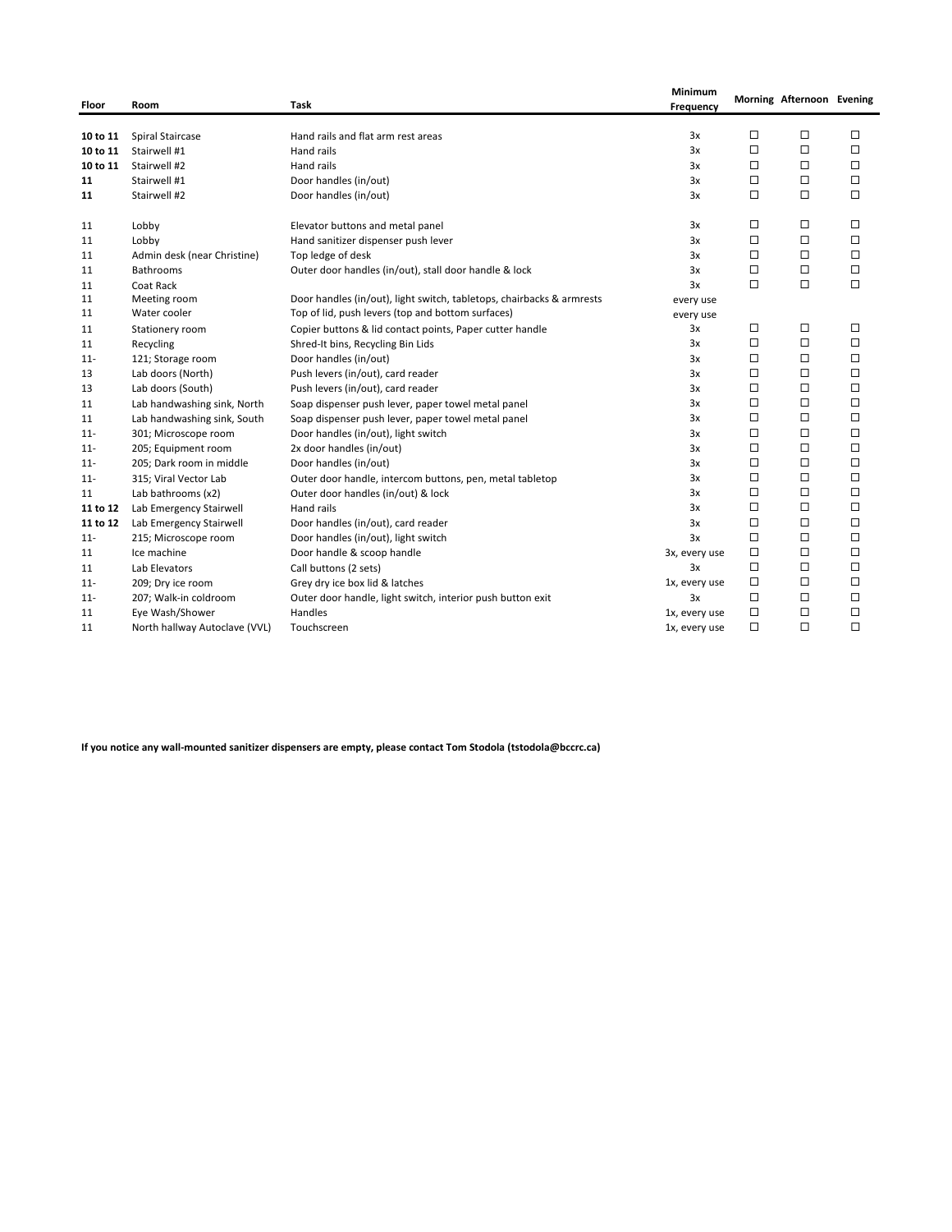| Floor    | Room                          | Task                                                                  | Minimum<br>Frequency |        | Morning Afternoon Evening |        |
|----------|-------------------------------|-----------------------------------------------------------------------|----------------------|--------|---------------------------|--------|
| 10 to 11 | Spiral Staircase              | Hand rails and flat arm rest areas                                    | 3x                   | □      | □                         | □      |
| 10 to 11 | Stairwell #1                  | Hand rails                                                            | 3x                   | $\Box$ | □                         | $\Box$ |
| 10 to 11 | Stairwell #2                  | Hand rails                                                            | 3x                   | □      | □                         | □      |
| 11       | Stairwell #1                  | Door handles (in/out)                                                 | 3x                   | $\Box$ | □                         | □      |
| 11       | Stairwell #2                  | Door handles (in/out)                                                 | 3x                   | п      | □                         | □      |
|          |                               |                                                                       |                      |        |                           |        |
| 11       | Lobby                         | Elevator buttons and metal panel                                      | 3x                   | □      | □                         | $\Box$ |
| 11       | Lobby                         | Hand sanitizer dispenser push lever                                   | 3x                   | $\Box$ | $\Box$                    | $\Box$ |
| 11       | Admin desk (near Christine)   | Top ledge of desk                                                     | 3x                   | $\Box$ | □                         | $\Box$ |
| 11       | <b>Bathrooms</b>              | Outer door handles (in/out), stall door handle & lock                 | 3x                   | $\Box$ | □                         | $\Box$ |
| 11       | Coat Rack                     |                                                                       | 3x                   | $\Box$ | $\Box$                    | $\Box$ |
| 11       | Meeting room                  | Door handles (in/out), light switch, tabletops, chairbacks & armrests | every use            |        |                           |        |
| 11       | Water cooler                  | Top of lid, push levers (top and bottom surfaces)                     | every use            |        |                           |        |
| 11       | Stationery room               | Copier buttons & lid contact points, Paper cutter handle              | 3x                   | □      | □                         | □      |
| 11       | Recycling                     | Shred-It bins, Recycling Bin Lids                                     | 3x                   | $\Box$ | $\Box$                    | $\Box$ |
| $11 -$   | 121; Storage room             | Door handles (in/out)                                                 | 3x                   | □      | □                         | □      |
| 13       | Lab doors (North)             | Push levers (in/out), card reader                                     | 3x                   | $\Box$ | □                         | □      |
| 13       | Lab doors (South)             | Push levers (in/out), card reader                                     | 3x                   | □      | □                         | □      |
| 11       | Lab handwashing sink, North   | Soap dispenser push lever, paper towel metal panel                    | 3x                   | $\Box$ | □                         | $\Box$ |
| 11       | Lab handwashing sink, South   | Soap dispenser push lever, paper towel metal panel                    | 3x                   | $\Box$ | □                         | □      |
| $11 -$   | 301; Microscope room          | Door handles (in/out), light switch                                   | 3x                   | $\Box$ | $\Box$                    | $\Box$ |
| $11 -$   | 205; Equipment room           | 2x door handles (in/out)                                              | 3x                   | $\Box$ | $\Box$                    | $\Box$ |
| $11 -$   | 205; Dark room in middle      | Door handles (in/out)                                                 | 3x                   | $\Box$ | □                         | $\Box$ |
| $11 -$   | 315; Viral Vector Lab         | Outer door handle, intercom buttons, pen, metal tabletop              | 3x                   | $\Box$ | □                         | $\Box$ |
| 11       | Lab bathrooms (x2)            | Outer door handles (in/out) & lock                                    | 3x                   | $\Box$ | □                         | □      |
| 11 to 12 | Lab Emergency Stairwell       | Hand rails                                                            | 3x                   | $\Box$ | □                         | $\Box$ |
| 11 to 12 | Lab Emergency Stairwell       | Door handles (in/out), card reader                                    | 3x                   | $\Box$ | □                         | $\Box$ |
| $11 -$   | 215; Microscope room          | Door handles (in/out), light switch                                   | 3x                   | $\Box$ | $\Box$                    | $\Box$ |
| 11       | Ice machine                   | Door handle & scoop handle                                            | 3x, every use        | $\Box$ | □                         | □      |
| 11       | Lab Elevators                 | Call buttons (2 sets)                                                 | 3x                   | $\Box$ | $\Box$                    | $\Box$ |
| $11 -$   | 209; Dry ice room             | Grey dry ice box lid & latches                                        | 1x, every use        | □      | □                         | $\Box$ |
| $11 -$   | 207; Walk-in coldroom         | Outer door handle, light switch, interior push button exit            | 3x                   | □      | □                         | $\Box$ |
| 11       | Eye Wash/Shower               | Handles                                                               | 1x, every use        | $\Box$ | □                         | $\Box$ |
| 11       | North hallway Autoclave (VVL) | Touchscreen                                                           | 1x, every use        | $\Box$ | □                         | $\Box$ |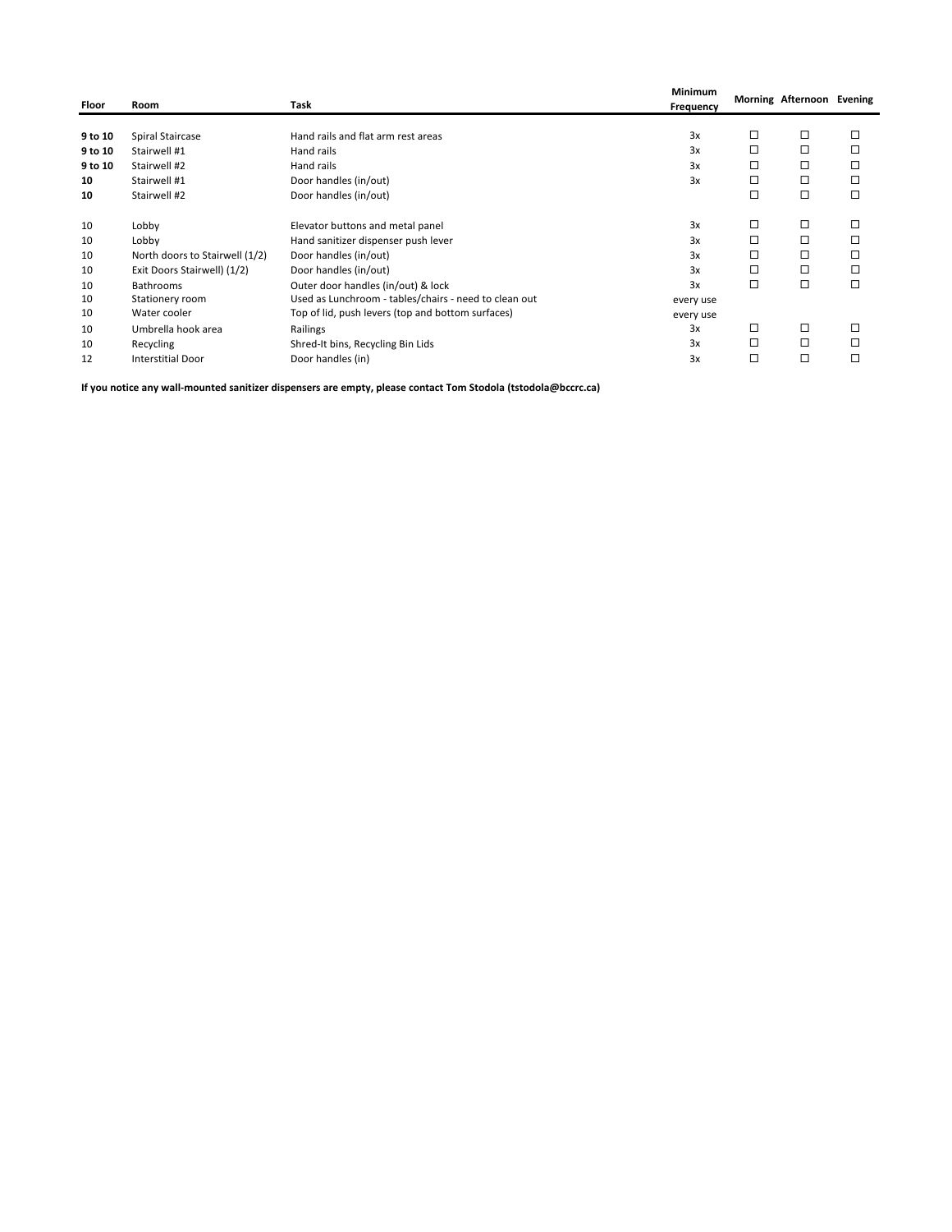| Floor   | Room                           | Task                                                  | Minimum<br>Frequency |   | Morning Afternoon Evening |   |
|---------|--------------------------------|-------------------------------------------------------|----------------------|---|---------------------------|---|
|         |                                |                                                       |                      |   |                           |   |
| 9 to 10 | Spiral Staircase               | Hand rails and flat arm rest areas                    | 3x                   | □ | □                         | □ |
| 9 to 10 | Stairwell #1                   | Hand rails                                            | 3x                   | □ | □                         | □ |
| 9 to 10 | Stairwell #2                   | Hand rails                                            | 3x                   | □ | □                         | □ |
| 10      | Stairwell #1                   | Door handles (in/out)                                 | 3x                   | □ | □                         | □ |
| 10      | Stairwell #2                   | Door handles (in/out)                                 |                      | □ | □                         | □ |
| 10      | Lobby                          | Elevator buttons and metal panel                      | 3x                   | □ | □                         | □ |
| 10      | Lobby                          | Hand sanitizer dispenser push lever                   | 3x                   | □ | □                         |   |
| 10      | North doors to Stairwell (1/2) | Door handles (in/out)                                 | 3x                   | □ | □                         | □ |
| 10      | Exit Doors Stairwell) (1/2)    | Door handles (in/out)                                 | 3x                   | □ | □                         | □ |
| 10      | <b>Bathrooms</b>               | Outer door handles (in/out) & lock                    | 3x                   | □ | □                         | □ |
| 10      | Stationery room                | Used as Lunchroom - tables/chairs - need to clean out | every use            |   |                           |   |
| 10      | Water cooler                   | Top of lid, push levers (top and bottom surfaces)     | every use            |   |                           |   |
| 10      | Umbrella hook area             | Railings                                              | 3x                   | □ | □                         |   |
| 10      | Recycling                      | Shred-It bins, Recycling Bin Lids                     | 3x                   | □ | □                         |   |
| 12      | <b>Interstitial Door</b>       | Door handles (in)                                     | 3x                   | □ | □                         | □ |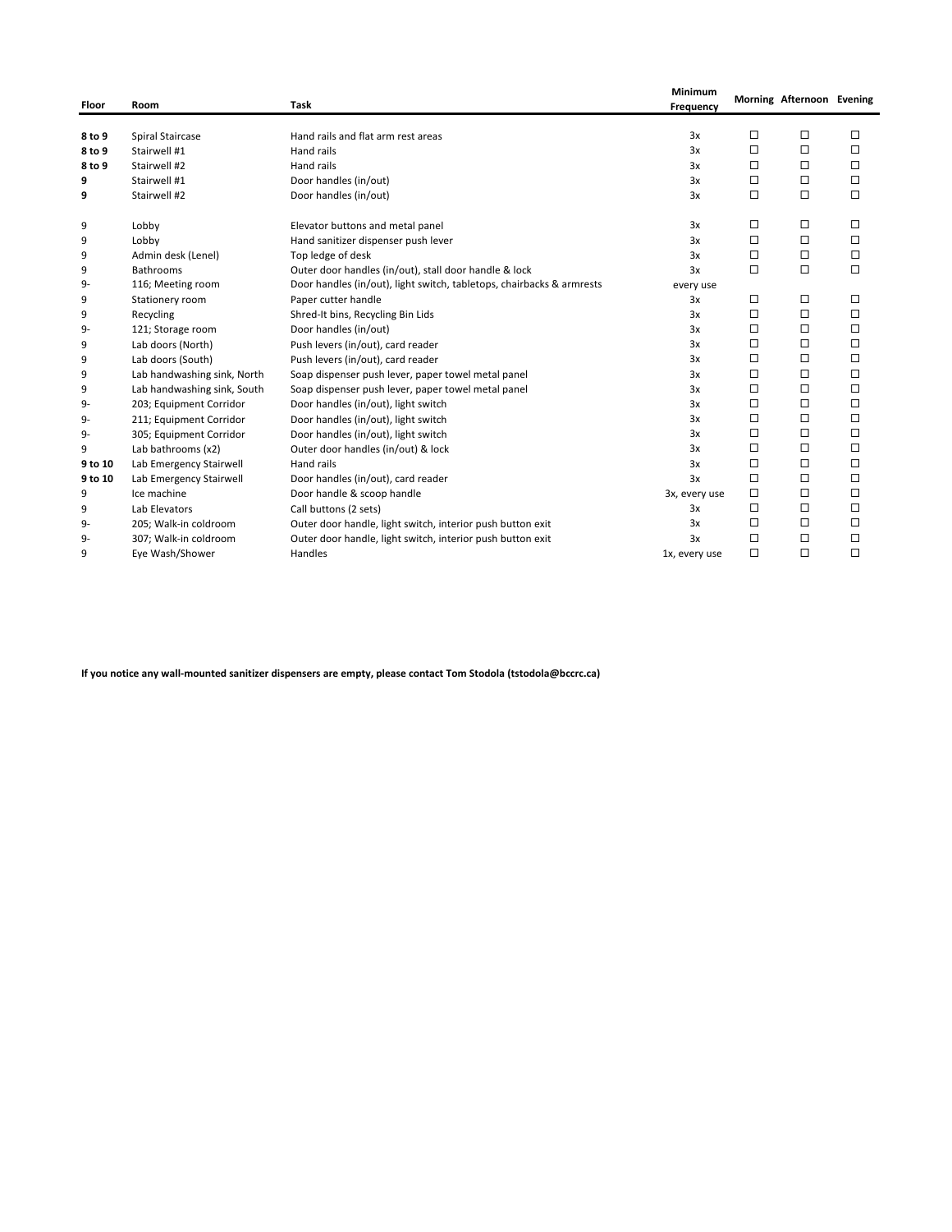| Floor   | Room                        | Task                                                                  | Minimum<br>Frequency |        | Morning Afternoon Evening |        |
|---------|-----------------------------|-----------------------------------------------------------------------|----------------------|--------|---------------------------|--------|
| 8 to 9  | <b>Spiral Staircase</b>     | Hand rails and flat arm rest areas                                    | 3x                   | $\Box$ | □                         | □      |
| 8 to 9  | Stairwell #1                | Hand rails                                                            | 3x                   | $\Box$ | □                         | □      |
| 8 to 9  | Stairwell #2                | Hand rails                                                            | 3x                   | $\Box$ | □                         | □      |
| 9       | Stairwell #1                | Door handles (in/out)                                                 | 3x                   | $\Box$ | □                         | □      |
| 9       | Stairwell #2                | Door handles (in/out)                                                 | 3x                   | $\Box$ | $\Box$                    | $\Box$ |
| 9       | Lobby                       | Elevator buttons and metal panel                                      | 3x                   | □      | □                         | □      |
| 9       | Lobby                       | Hand sanitizer dispenser push lever                                   | 3x                   | $\Box$ | $\Box$                    | $\Box$ |
| 9       | Admin desk (Lenel)          | Top ledge of desk                                                     | 3x                   | $\Box$ | $\Box$                    | □      |
| 9       | <b>Bathrooms</b>            | Outer door handles (in/out), stall door handle & lock                 | 3x                   | п      | □                         | $\Box$ |
| $9-$    | 116; Meeting room           | Door handles (in/out), light switch, tabletops, chairbacks & armrests | every use            |        |                           |        |
| 9       | Stationery room             | Paper cutter handle                                                   | 3x                   | □      | □                         | □      |
| 9       | Recycling                   | Shred-It bins, Recycling Bin Lids                                     | 3x                   | $\Box$ | $\Box$                    | $\Box$ |
| 9-      | 121; Storage room           | Door handles (in/out)                                                 | 3x                   | $\Box$ | □                         | □      |
| 9       | Lab doors (North)           | Push levers (in/out), card reader                                     | 3x                   | $\Box$ | □                         | □      |
| 9       | Lab doors (South)           | Push levers (in/out), card reader                                     | 3x                   | $\Box$ | $\Box$                    | $\Box$ |
| 9       | Lab handwashing sink, North | Soap dispenser push lever, paper towel metal panel                    | 3x                   | $\Box$ | □                         | □      |
| 9       | Lab handwashing sink, South | Soap dispenser push lever, paper towel metal panel                    | 3x                   | $\Box$ | □                         | □      |
| $9-$    | 203; Equipment Corridor     | Door handles (in/out), light switch                                   | 3x                   | $\Box$ | □                         | □      |
| 9-      | 211; Equipment Corridor     | Door handles (in/out), light switch                                   | 3x                   | □      | □                         | □      |
| 9-      | 305; Equipment Corridor     | Door handles (in/out), light switch                                   | 3x                   | $\Box$ | $\Box$                    | $\Box$ |
| 9       | Lab bathrooms (x2)          | Outer door handles (in/out) & lock                                    | 3x                   | $\Box$ | $\Box$                    | □      |
| 9 to 10 | Lab Emergency Stairwell     | Hand rails                                                            | 3x                   | $\Box$ | □                         | □      |
| 9 to 10 | Lab Emergency Stairwell     | Door handles (in/out), card reader                                    | 3x                   | $\Box$ | □                         | □      |
| 9       | Ice machine                 | Door handle & scoop handle                                            | 3x, every use        | □      | □                         | □      |
| 9       | Lab Elevators               | Call buttons (2 sets)                                                 | 3x                   | $\Box$ | □                         | □      |
| 9-      | 205; Walk-in coldroom       | Outer door handle, light switch, interior push button exit            | 3x                   | $\Box$ | □                         | $\Box$ |
| 9-      | 307; Walk-in coldroom       | Outer door handle, light switch, interior push button exit            | 3x                   | $\Box$ | $\Box$                    | $\Box$ |
| 9       | Eye Wash/Shower             | Handles                                                               | 1x, every use        | $\Box$ | $\Box$                    | $\Box$ |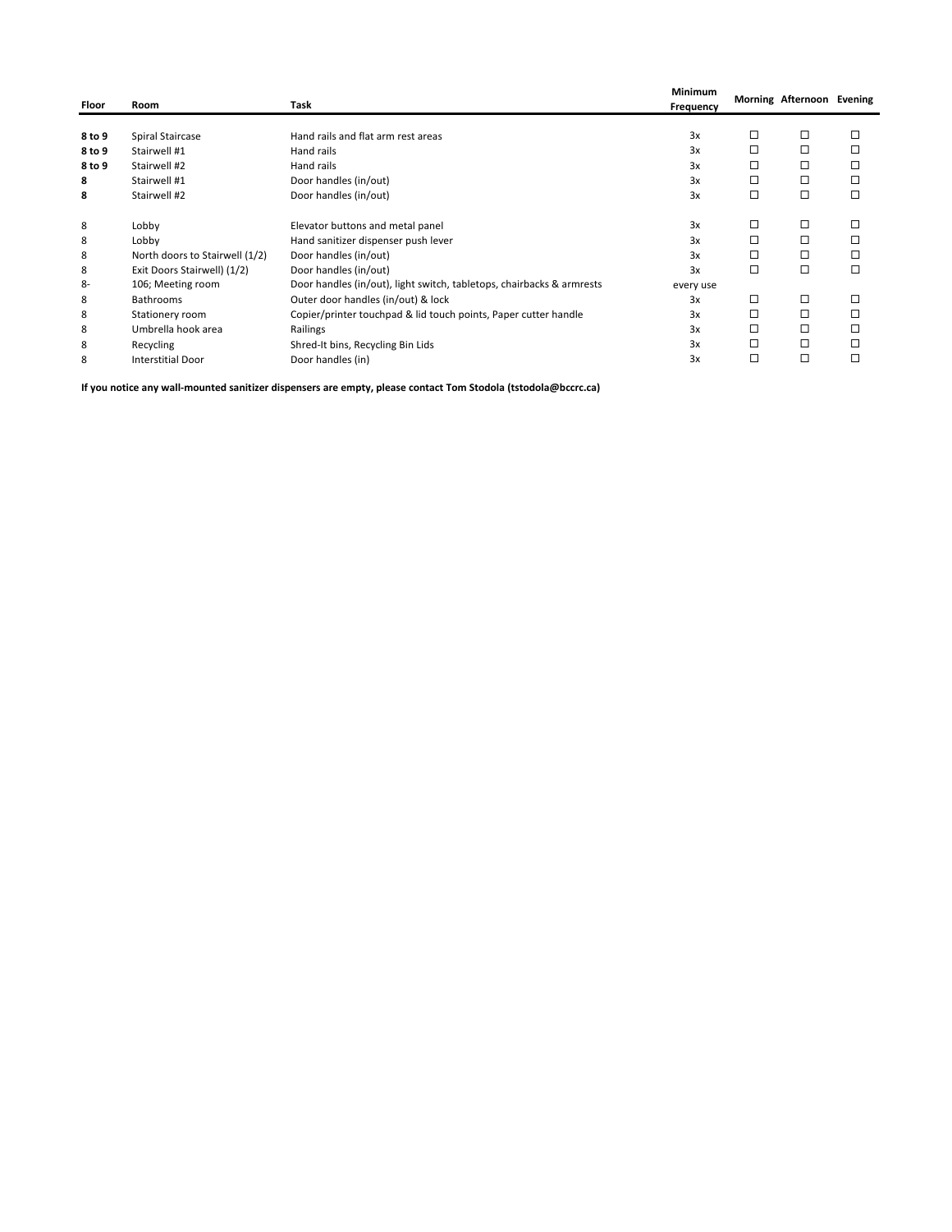| Floor  | Room                           | Task                                                                  | Minimum<br>Frequency |   | Morning Afternoon Evening |   |
|--------|--------------------------------|-----------------------------------------------------------------------|----------------------|---|---------------------------|---|
|        |                                |                                                                       |                      |   |                           |   |
| 8 to 9 | <b>Spiral Staircase</b>        | Hand rails and flat arm rest areas                                    | 3x                   | □ | □                         | □ |
| 8 to 9 | Stairwell #1                   | Hand rails                                                            | 3x                   | □ | □                         | □ |
| 8 to 9 | Stairwell #2                   | Hand rails                                                            | 3x                   | □ | □                         | □ |
| 8      | Stairwell #1                   | Door handles (in/out)                                                 | 3x                   | □ | □                         | □ |
| 8      | Stairwell #2                   | Door handles (in/out)                                                 | 3x                   | □ | □                         | □ |
| 8      | Lobby                          | Elevator buttons and metal panel                                      | 3x                   | □ | □                         |   |
| 8      | Lobby                          | Hand sanitizer dispenser push lever                                   | 3x                   | □ | □                         |   |
| 8      | North doors to Stairwell (1/2) | Door handles (in/out)                                                 | 3x                   | □ | □                         |   |
| 8      | Exit Doors Stairwell) (1/2)    | Door handles (in/out)                                                 | 3x                   | □ | □                         | □ |
| 8-     | 106; Meeting room              | Door handles (in/out), light switch, tabletops, chairbacks & armrests | every use            |   |                           |   |
| 8      | <b>Bathrooms</b>               | Outer door handles (in/out) & lock                                    | 3x                   | □ | □                         | □ |
| 8      | Stationery room                | Copier/printer touchpad & lid touch points, Paper cutter handle       | 3x                   | □ | □                         | □ |
| 8      | Umbrella hook area             | Railings                                                              | 3x                   | □ | □                         |   |
| 8      | Recycling                      | Shred-It bins, Recycling Bin Lids                                     | 3x                   |   | □                         |   |
| 8      | <b>Interstitial Door</b>       | Door handles (in)                                                     | 3x                   | □ | □                         |   |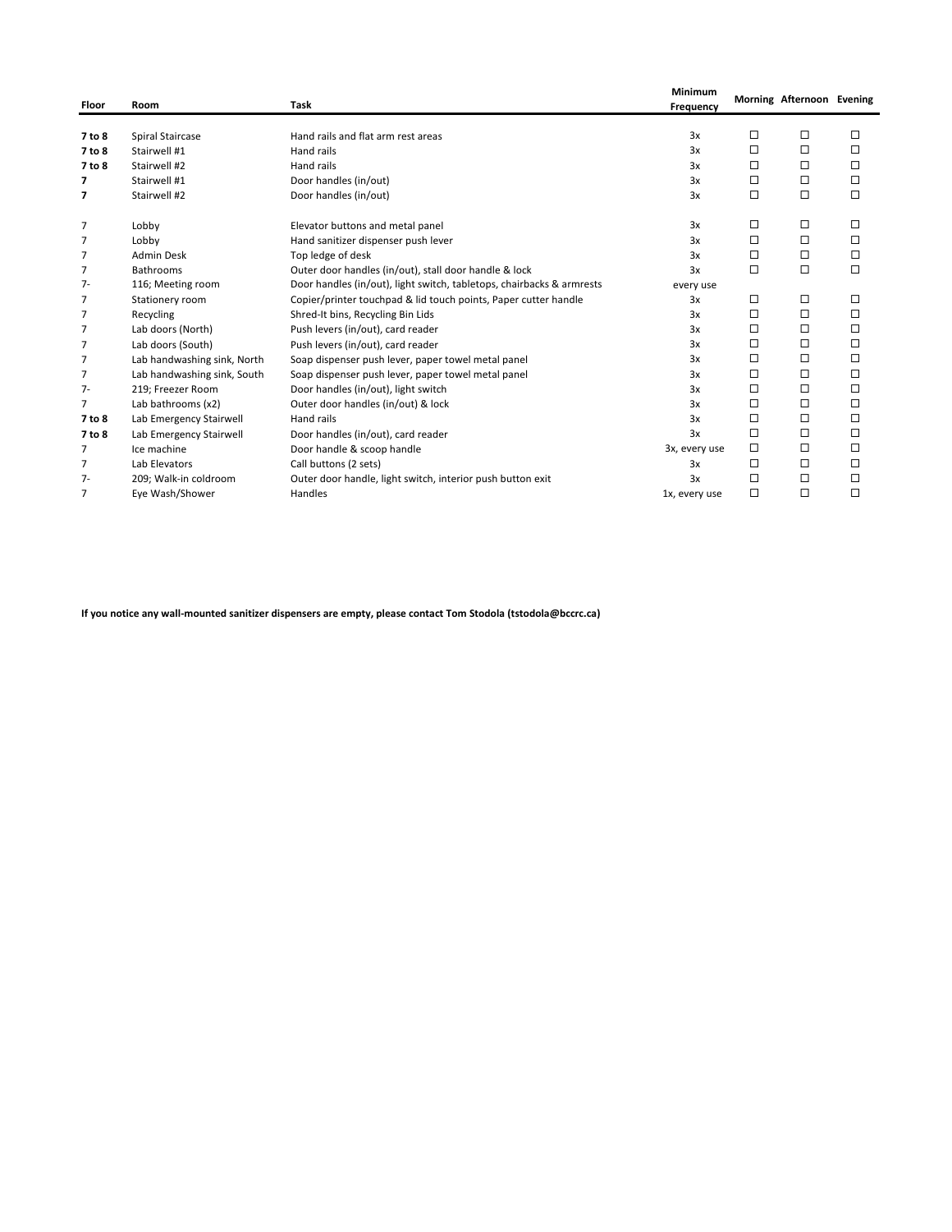| Floor          | Room                        | Task                                                                  | Minimum<br>Frequency |        | Morning Afternoon Evening |        |
|----------------|-----------------------------|-----------------------------------------------------------------------|----------------------|--------|---------------------------|--------|
|                |                             |                                                                       | 3x                   | □      |                           | □      |
| 7 to 8         | Spiral Staircase            | Hand rails and flat arm rest areas                                    |                      | Л      | □                         |        |
| 7 to 8         | Stairwell #1                | Hand rails                                                            | 3x                   |        | □                         | □      |
| 7 to 8         | Stairwell #2                | Hand rails                                                            | 3x                   | □      | □                         | □      |
| 7              | Stairwell #1                | Door handles (in/out)                                                 | 3x                   | $\Box$ | $\Box$                    | $\Box$ |
| 7              | Stairwell #2                | Door handles (in/out)                                                 | 3x                   | $\Box$ | □                         | $\Box$ |
| 7              | Lobby                       | Elevator buttons and metal panel                                      | 3x                   | □      | □                         | □      |
| 7              | Lobby                       | Hand sanitizer dispenser push lever                                   | 3x                   | $\Box$ | $\Box$                    | □      |
| 7              | <b>Admin Desk</b>           | Top ledge of desk                                                     | 3x                   | □      | □                         | $\Box$ |
| 7              | <b>Bathrooms</b>            | Outer door handles (in/out), stall door handle & lock                 | 3x                   | $\Box$ | $\Box$                    | $\Box$ |
| $7-$           | 116; Meeting room           | Door handles (in/out), light switch, tabletops, chairbacks & armrests | every use            |        |                           |        |
| 7              | Stationery room             | Copier/printer touchpad & lid touch points, Paper cutter handle       | 3x                   | □      | □                         | □      |
| 7              | Recycling                   | Shred-It bins, Recycling Bin Lids                                     | 3x                   | □      | □                         | □      |
| $\overline{7}$ | Lab doors (North)           | Push levers (in/out), card reader                                     | 3x                   | □      | □                         | □      |
| 7              | Lab doors (South)           | Push levers (in/out), card reader                                     | 3x                   | $\Box$ | □                         | $\Box$ |
| 7              | Lab handwashing sink, North | Soap dispenser push lever, paper towel metal panel                    | 3x                   | $\Box$ | □                         | $\Box$ |
| 7              | Lab handwashing sink, South | Soap dispenser push lever, paper towel metal panel                    | 3x                   | □      | □                         | □      |
| $7 -$          | 219; Freezer Room           | Door handles (in/out), light switch                                   | 3x                   | □      | □                         | □      |
| 7              | Lab bathrooms (x2)          | Outer door handles (in/out) & lock                                    | 3x                   | $\Box$ | □                         | $\Box$ |
| 7 to 8         | Lab Emergency Stairwell     | Hand rails                                                            | 3x                   | □      | □                         | □      |
| 7 to 8         | Lab Emergency Stairwell     | Door handles (in/out), card reader                                    | 3x                   | $\Box$ | □                         | □      |
| 7              | Ice machine                 | Door handle & scoop handle                                            | 3x, every use        | $\Box$ | □                         | □      |
| 7              | Lab Elevators               | Call buttons (2 sets)                                                 | 3x                   | □      | □                         | □      |
| $7 -$          | 209; Walk-in coldroom       | Outer door handle, light switch, interior push button exit            | 3x                   | □      | □                         | □      |
| 7              | Eye Wash/Shower             | Handles                                                               | 1x, every use        | $\Box$ | □                         | □      |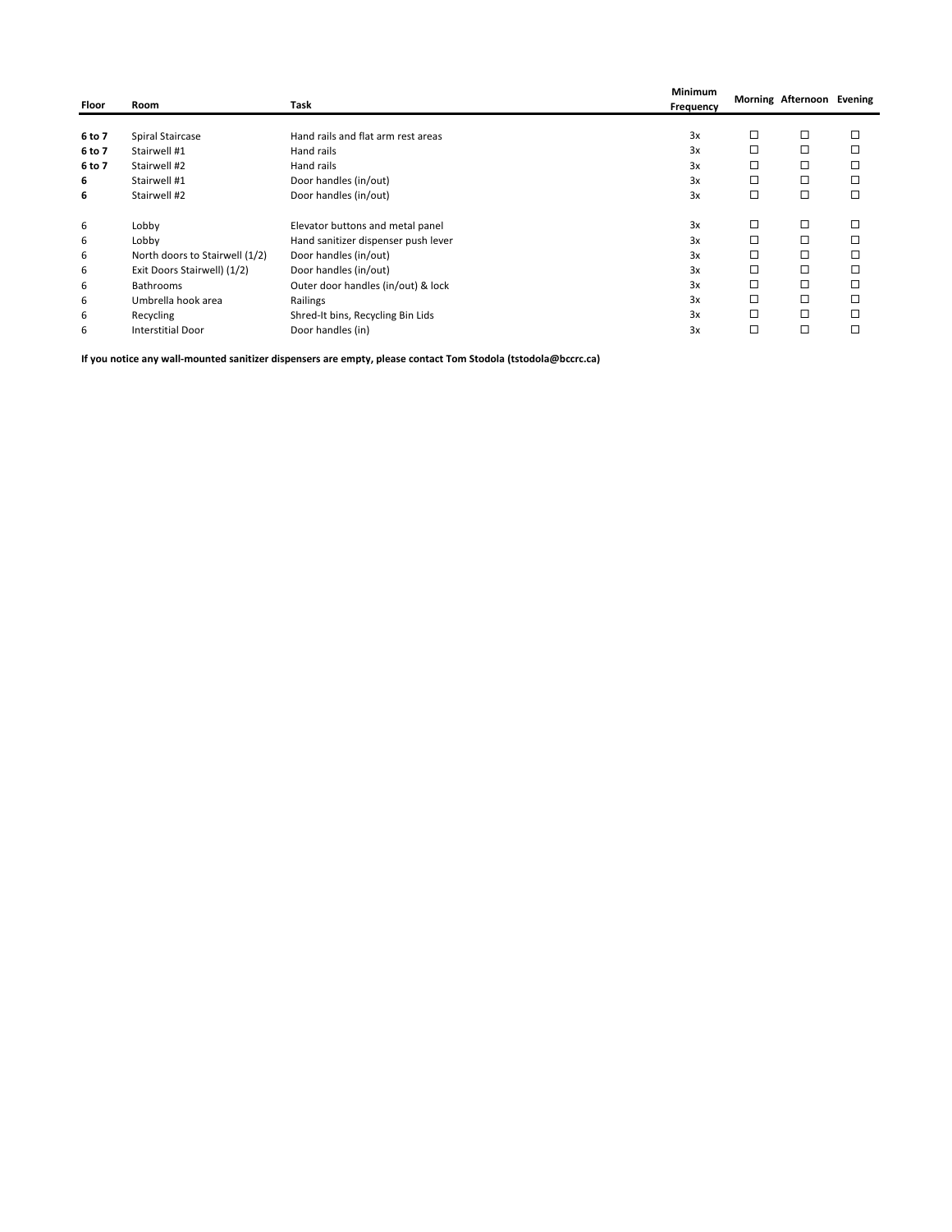| Floor  | Room                           | Task                                | Minimum<br>Frequency |   | Morning Afternoon Evening |        |
|--------|--------------------------------|-------------------------------------|----------------------|---|---------------------------|--------|
|        |                                |                                     |                      |   |                           |        |
| 6 to 7 | Spiral Staircase               | Hand rails and flat arm rest areas  | 3x                   | □ | □                         | □      |
| 6 to 7 | Stairwell #1                   | Hand rails                          | 3x                   | □ | □                         |        |
| 6 to 7 | Stairwell #2                   | Hand rails                          | 3x                   | □ | □                         |        |
| 6      | Stairwell #1                   | Door handles (in/out)               | 3x                   | □ | □                         |        |
| 6      | Stairwell #2                   | Door handles (in/out)               | 3x                   | □ | □                         | □      |
| 6      | Lobby                          | Elevator buttons and metal panel    | 3x                   | □ | □                         |        |
| 6      | Lobby                          | Hand sanitizer dispenser push lever | 3x                   | □ | □                         |        |
| 6      | North doors to Stairwell (1/2) | Door handles (in/out)               | 3x                   | □ | □                         |        |
| 6      | Exit Doors Stairwell) (1/2)    | Door handles (in/out)               | 3x                   | □ | ◻                         |        |
| 6      | <b>Bathrooms</b>               | Outer door handles (in/out) & lock  | 3x                   | □ | □                         | $\Box$ |
| 6      | Umbrella hook area             | Railings                            | 3x                   | □ | □                         |        |
| 6      | Recycling                      | Shred-It bins, Recycling Bin Lids   | 3x                   | □ | □                         | □      |
| 6      | <b>Interstitial Door</b>       | Door handles (in)                   | 3x                   | □ | □                         | п      |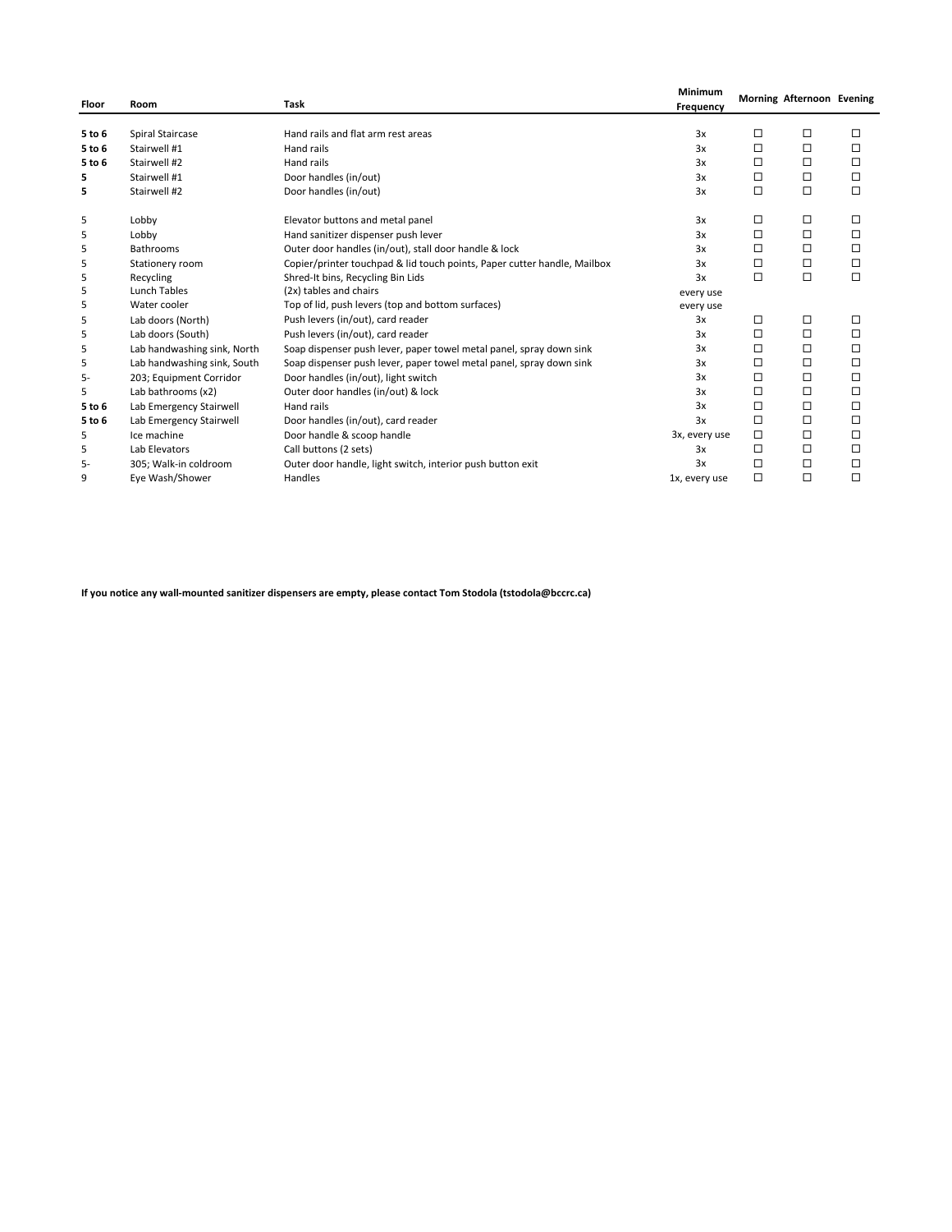| Floor  | Room                        | <b>Task</b>                                                              | <b>Minimum</b><br>Frequency |        | Morning Afternoon Evening |        |
|--------|-----------------------------|--------------------------------------------------------------------------|-----------------------------|--------|---------------------------|--------|
| 5 to 6 | Spiral Staircase            | Hand rails and flat arm rest areas                                       | 3x                          | □      | $\Box$                    | □      |
| 5 to 6 | Stairwell #1                | Hand rails                                                               | 3x                          | □      | $\Box$                    | □      |
| 5 to 6 | Stairwell #2                | Hand rails                                                               | 3x                          | □      | $\Box$                    | □      |
| 5      | Stairwell #1                | Door handles (in/out)                                                    | 3x                          | □      | $\Box$                    | □      |
| 5      | Stairwell #2                | Door handles (in/out)                                                    | 3x                          | $\Box$ | $\Box$                    | □      |
| 5      | Lobby                       | Elevator buttons and metal panel                                         | 3x                          | □      | □                         | □      |
| 5      | Lobby                       | Hand sanitizer dispenser push lever                                      | 3x                          | □      | $\Box$                    | □      |
| 5      | Bathrooms                   | Outer door handles (in/out), stall door handle & lock                    | 3x                          | □      | □                         | □      |
| 5      | Stationery room             | Copier/printer touchpad & lid touch points, Paper cutter handle, Mailbox | 3x                          | □      | $\Box$                    | $\Box$ |
| 5      | Recycling                   | Shred-It bins, Recycling Bin Lids                                        | 3x                          | $\Box$ | $\Box$                    | □      |
| 5      | Lunch Tables                | (2x) tables and chairs                                                   | every use                   |        |                           |        |
| 5      | Water cooler                | Top of lid, push levers (top and bottom surfaces)                        | every use                   |        |                           |        |
| 5      | Lab doors (North)           | Push levers (in/out), card reader                                        | 3x                          | □      | $\Box$                    | □      |
| 5      | Lab doors (South)           | Push levers (in/out), card reader                                        | 3x                          | □      | □                         | □      |
| 5      | Lab handwashing sink, North | Soap dispenser push lever, paper towel metal panel, spray down sink      | 3x                          | □      | $\Box$                    | □      |
| 5      | Lab handwashing sink, South | Soap dispenser push lever, paper towel metal panel, spray down sink      | 3x                          | □      | □                         | □      |
| 5-     | 203; Equipment Corridor     | Door handles (in/out), light switch                                      | 3x                          | □      | □                         | $\Box$ |
| 5      | Lab bathrooms (x2)          | Outer door handles (in/out) & lock                                       | 3x                          | □      | $\Box$                    | □      |
| 5 to 6 | Lab Emergency Stairwell     | Hand rails                                                               | 3x                          | □      | □                         | □      |
| 5 to 6 | Lab Emergency Stairwell     | Door handles (in/out), card reader                                       | 3x                          | $\Box$ | □                         | □      |
| 5      | Ice machine                 | Door handle & scoop handle                                               | 3x, every use               | $\Box$ | $\Box$                    | □      |
| 5      | Lab Elevators               | Call buttons (2 sets)                                                    | 3x                          | □      | $\Box$                    | □      |
| 5-     | 305; Walk-in coldroom       | Outer door handle, light switch, interior push button exit               | 3x                          | □      | □                         | □      |
| 9      | Eye Wash/Shower             | Handles                                                                  | 1x, every use               | $\Box$ | $\Box$                    | □      |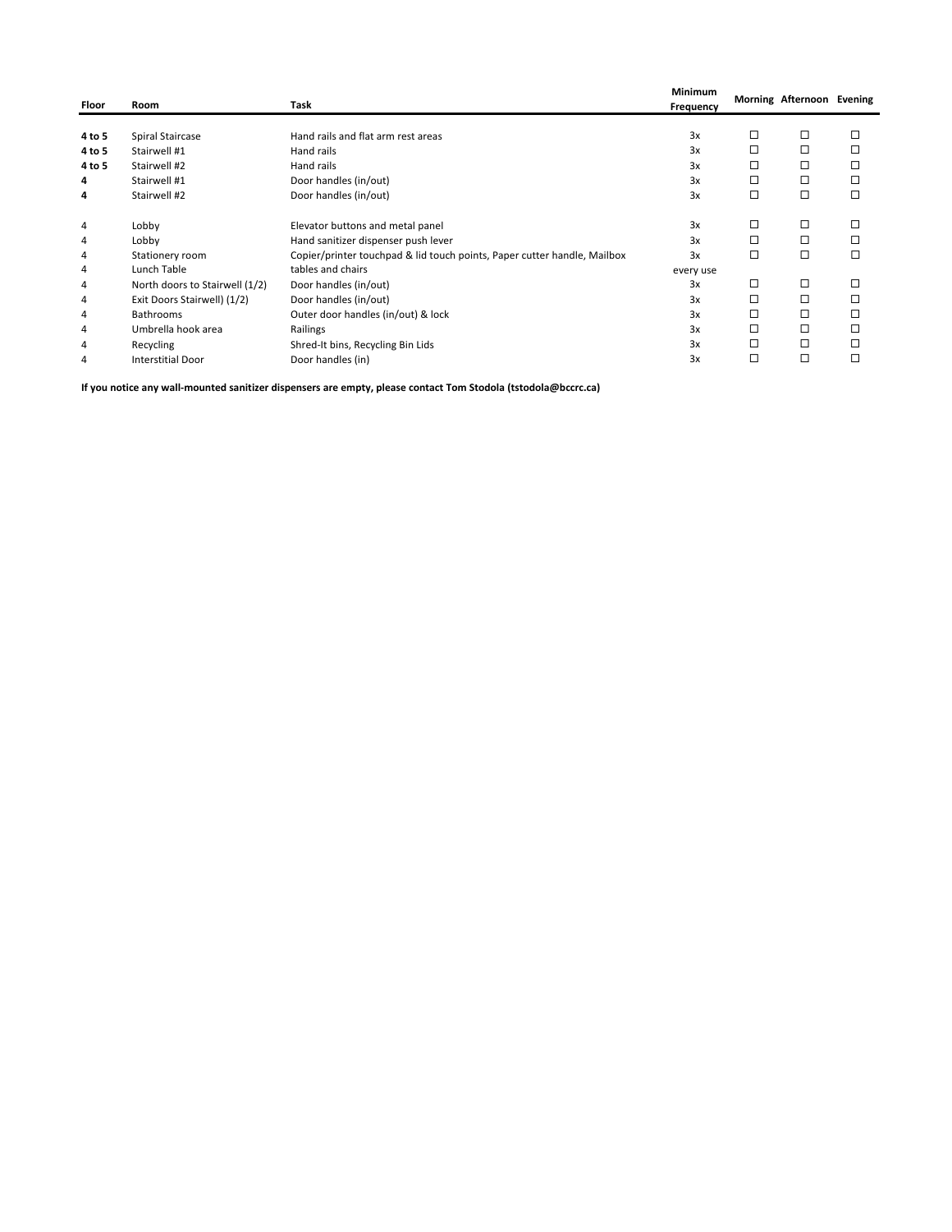| Floor  | Room                           | Task                                                                     | Minimum<br>Frequency |   | Morning Afternoon Evening |   |
|--------|--------------------------------|--------------------------------------------------------------------------|----------------------|---|---------------------------|---|
|        |                                |                                                                          |                      |   |                           |   |
| 4 to 5 | Spiral Staircase               | Hand rails and flat arm rest areas                                       | 3x                   | □ | □                         | □ |
| 4 to 5 | Stairwell #1                   | Hand rails                                                               | 3x                   | □ | □                         | □ |
| 4 to 5 | Stairwell #2                   | Hand rails                                                               | 3x                   | □ | □                         | □ |
| 4      | Stairwell #1                   | Door handles (in/out)                                                    | 3x                   | □ | □                         | □ |
| 4      | Stairwell #2                   | Door handles (in/out)                                                    | 3x                   | □ | □                         | □ |
| 4      | Lobby                          | Elevator buttons and metal panel                                         | 3x                   | □ | □                         |   |
| 4      | Lobby                          | Hand sanitizer dispenser push lever                                      | 3x                   | □ | □                         |   |
| 4      | Stationery room                | Copier/printer touchpad & lid touch points, Paper cutter handle, Mailbox | 3x                   | □ | □                         | □ |
| 4      | Lunch Table                    | tables and chairs                                                        | every use            |   |                           |   |
| 4      | North doors to Stairwell (1/2) | Door handles (in/out)                                                    | 3x                   | □ | □                         | □ |
| 4      | Exit Doors Stairwell) (1/2)    | Door handles (in/out)                                                    | 3x                   | □ | □                         | □ |
| 4      | <b>Bathrooms</b>               | Outer door handles (in/out) & lock                                       | 3x                   | □ | □                         | □ |
| 4      | Umbrella hook area             | Railings                                                                 | 3x                   | □ | □                         |   |
| 4      | Recycling                      | Shred-It bins, Recycling Bin Lids                                        | 3x                   | □ | □                         |   |
| 4      | <b>Interstitial Door</b>       | Door handles (in)                                                        | 3x                   | □ | □                         | □ |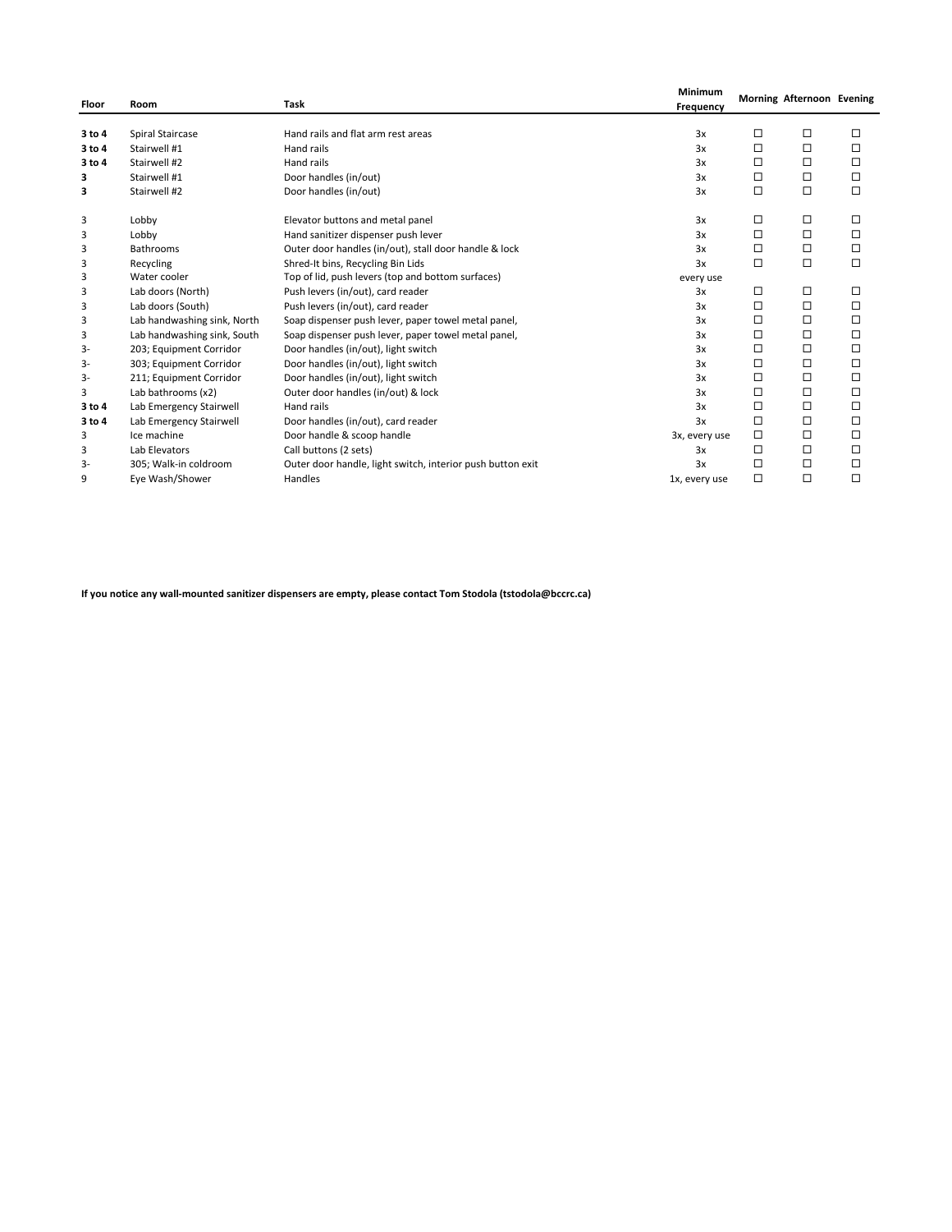| Floor  | Room                        | Task                                                       | <b>Minimum</b><br>Frequency |        | Morning Afternoon Evening |        |
|--------|-----------------------------|------------------------------------------------------------|-----------------------------|--------|---------------------------|--------|
| 3 to 4 | Spiral Staircase            | Hand rails and flat arm rest areas                         | 3x                          | □      | □                         | □      |
| 3 to 4 | Stairwell #1                | Hand rails                                                 | 3x                          | □      | □                         | □      |
| 3 to 4 | Stairwell #2                | Hand rails                                                 | 3x                          | □      | $\Box$                    | $\Box$ |
| з      | Stairwell #1                | Door handles (in/out)                                      | 3x                          | □      | $\Box$                    | □      |
| 3      | Stairwell #2                | Door handles (in/out)                                      | 3x                          | □      | $\Box$                    | $\Box$ |
| 3      | Lobby                       | Elevator buttons and metal panel                           | 3x                          | □      | □                         | □      |
| 3      | Lobby                       | Hand sanitizer dispenser push lever                        | 3x                          | □      | $\Box$                    | □      |
| 3      | <b>Bathrooms</b>            | Outer door handles (in/out), stall door handle & lock      | 3x                          | □      | $\Box$                    | □      |
| 3      | Recycling                   | Shred-It bins, Recycling Bin Lids                          | 3x                          | □      | $\Box$                    | $\Box$ |
| 3      | Water cooler                | Top of lid, push levers (top and bottom surfaces)          | every use                   |        |                           |        |
| 3      | Lab doors (North)           | Push levers (in/out), card reader                          | 3x                          | □      | □                         | □      |
| 3      | Lab doors (South)           | Push levers (in/out), card reader                          | 3x                          | □      | $\Box$                    | □      |
| 3      | Lab handwashing sink, North | Soap dispenser push lever, paper towel metal panel,        | 3x                          | □      | $\Box$                    | $\Box$ |
| 3      | Lab handwashing sink, South | Soap dispenser push lever, paper towel metal panel,        | 3x                          | □      | $\Box$                    | □      |
| 3-     | 203; Equipment Corridor     | Door handles (in/out), light switch                        | 3x                          | □      | $\Box$                    | □      |
| 3-     | 303; Equipment Corridor     | Door handles (in/out), light switch                        | 3x                          | □      | $\Box$                    | □      |
| 3-     | 211; Equipment Corridor     | Door handles (in/out), light switch                        | 3x                          | □      | $\Box$                    | $\Box$ |
| 3      | Lab bathrooms (x2)          | Outer door handles (in/out) & lock                         | 3x                          | □      | $\Box$                    | $\Box$ |
| 3 to 4 | Lab Emergency Stairwell     | Hand rails                                                 | 3x                          | □      | $\Box$                    | □      |
| 3 to 4 | Lab Emergency Stairwell     | Door handles (in/out), card reader                         | 3x                          | □      | $\Box$                    | □      |
| 3      | Ice machine                 | Door handle & scoop handle                                 | 3x, every use               | □      | $\Box$                    | □      |
| 3      | Lab Elevators               | Call buttons (2 sets)                                      | 3x                          | □      | $\Box$                    | □      |
| 3-     | 305; Walk-in coldroom       | Outer door handle, light switch, interior push button exit | 3x                          | □      | $\Box$                    | □      |
| 9      | Eye Wash/Shower             | Handles                                                    | 1x, every use               | $\Box$ | $\Box$                    | □      |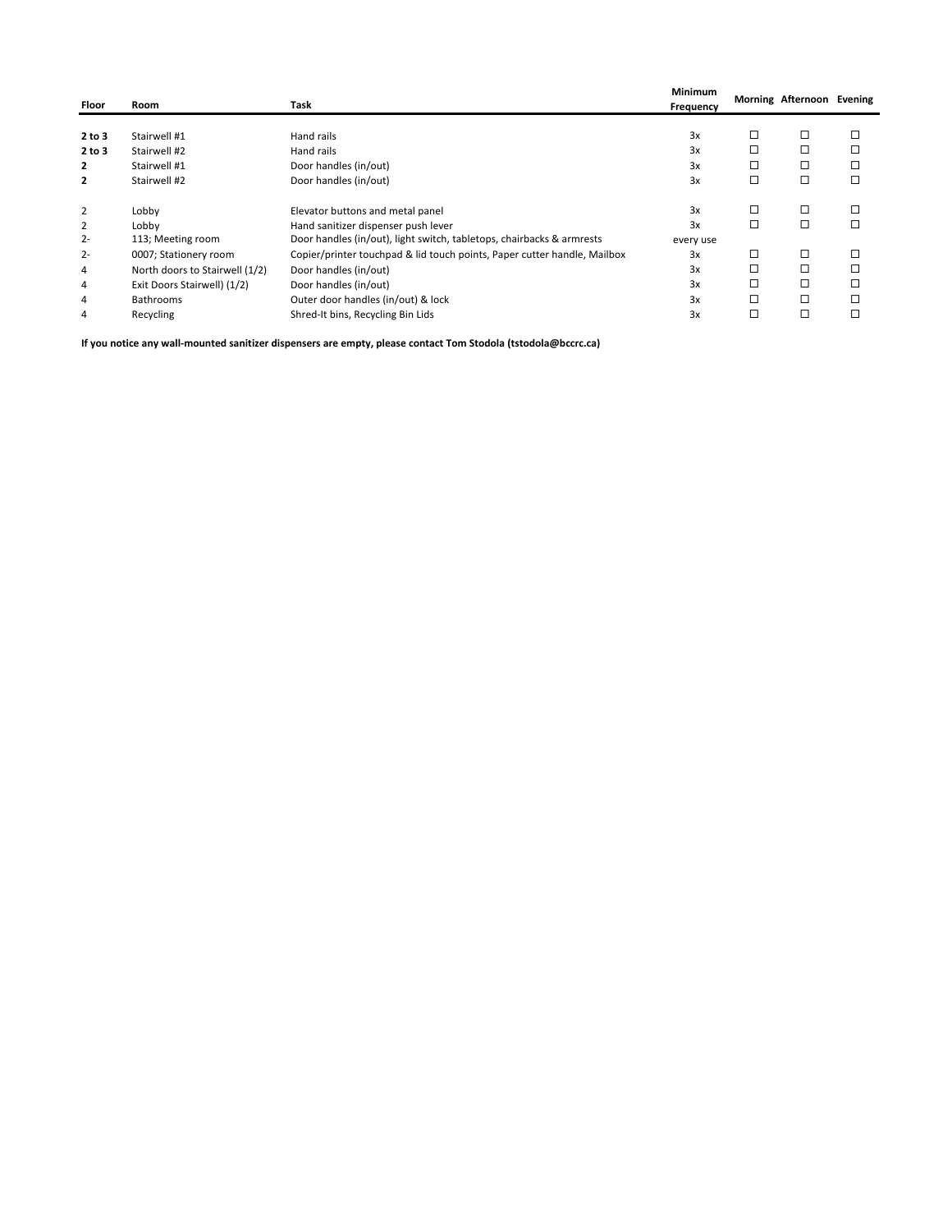| Floor          | Room                           | Task                                                                     | <b>Minimum</b><br>Frequency |   | Morning Afternoon Evening |  |
|----------------|--------------------------------|--------------------------------------------------------------------------|-----------------------------|---|---------------------------|--|
|                |                                |                                                                          |                             |   |                           |  |
| 2 to 3         | Stairwell #1                   | Hand rails                                                               | 3x                          | □ | □                         |  |
| 2 to 3         | Stairwell #2                   | Hand rails                                                               | 3x                          |   | □                         |  |
| 2              | Stairwell #1                   | Door handles (in/out)                                                    | 3x                          |   | □                         |  |
| $\overline{2}$ | Stairwell #2                   | Door handles (in/out)                                                    | 3x                          | □ | □                         |  |
| $\overline{2}$ | Lobby                          | Elevator buttons and metal panel                                         | 3x                          | □ | □                         |  |
| 2              | Lobby                          | Hand sanitizer dispenser push lever                                      | 3x                          | □ | □                         |  |
| $2 -$          | 113; Meeting room              | Door handles (in/out), light switch, tabletops, chairbacks & armrests    | every use                   |   |                           |  |
| $2 -$          | 0007; Stationery room          | Copier/printer touchpad & lid touch points, Paper cutter handle, Mailbox | 3x                          | □ | □                         |  |
| 4              | North doors to Stairwell (1/2) | Door handles (in/out)                                                    | 3x                          |   |                           |  |
| 4              | Exit Doors Stairwell) (1/2)    | Door handles (in/out)                                                    | 3x                          | □ | □                         |  |
| 4              | <b>Bathrooms</b>               | Outer door handles (in/out) & lock                                       | 3x                          |   | □                         |  |
| 4              | Recycling                      | Shred-It bins, Recycling Bin Lids                                        | 3x                          | □ | □                         |  |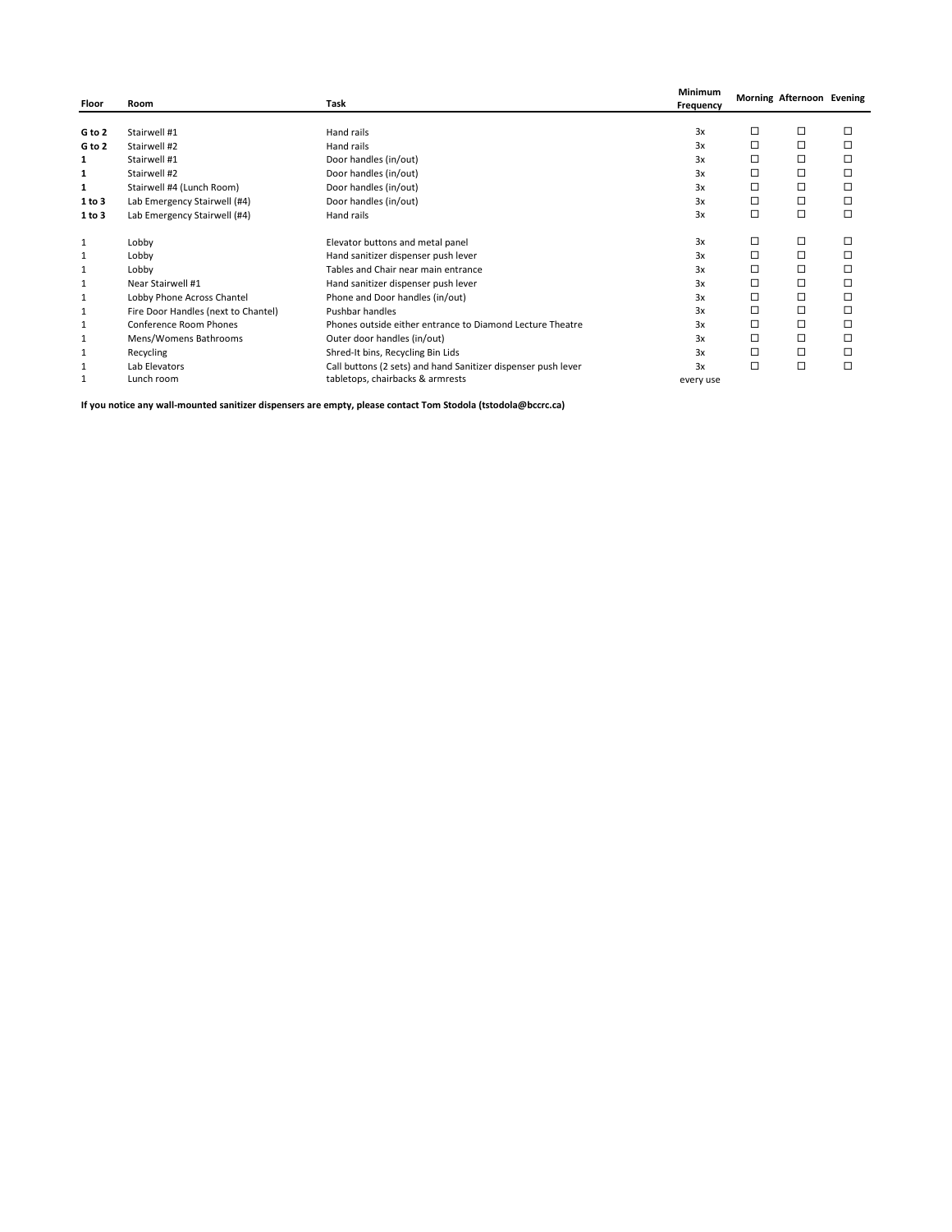| Floor        | Room                                | Task                                                          | Minimum<br>Frequency |   | Morning Afternoon Evening |   |
|--------------|-------------------------------------|---------------------------------------------------------------|----------------------|---|---------------------------|---|
|              |                                     |                                                               |                      |   |                           |   |
| G to 2       | Stairwell #1                        | Hand rails                                                    | 3x                   | □ | □                         | □ |
| G to 2       | Stairwell #2                        | Hand rails                                                    | 3x                   | □ | □                         |   |
| 1            | Stairwell #1                        | Door handles (in/out)                                         | 3x                   | □ | □                         | □ |
| 1            | Stairwell #2                        | Door handles (in/out)                                         | 3x                   | □ | □                         | □ |
| 1            | Stairwell #4 (Lunch Room)           | Door handles (in/out)                                         | 3x                   | □ | □                         | □ |
| 1 to 3       | Lab Emergency Stairwell (#4)        | Door handles (in/out)                                         | 3x                   | □ | □                         |   |
| 1 to 3       | Lab Emergency Stairwell (#4)        | Hand rails                                                    | 3x                   | □ | $\Box$                    | п |
| $\mathbf{1}$ | Lobby                               | Elevator buttons and metal panel                              | 3x                   | □ | □                         | □ |
| $\mathbf{1}$ | Lobby                               | Hand sanitizer dispenser push lever                           | 3x                   | □ | □                         | □ |
| 1            | Lobby                               | Tables and Chair near main entrance                           | 3x                   | □ | □                         |   |
| $\mathbf{1}$ | Near Stairwell #1                   | Hand sanitizer dispenser push lever                           | 3x                   | □ | □                         | □ |
| $\mathbf{1}$ | Lobby Phone Across Chantel          | Phone and Door handles (in/out)                               | 3x                   | □ | □                         | □ |
| 1            | Fire Door Handles (next to Chantel) | <b>Pushbar handles</b>                                        | 3x                   | □ | □                         | □ |
| 1            | Conference Room Phones              | Phones outside either entrance to Diamond Lecture Theatre     | 3x                   | □ | □                         |   |
| $\mathbf{1}$ | Mens/Womens Bathrooms               | Outer door handles (in/out)                                   | 3x                   | □ | □                         | □ |
| 1            | Recycling                           | Shred-It bins, Recycling Bin Lids                             | 3x                   | □ | □                         | □ |
| 1            | Lab Elevators                       | Call buttons (2 sets) and hand Sanitizer dispenser push lever | 3x                   | □ | □                         | □ |
| 1            | Lunch room                          | tabletops, chairbacks & armrests                              | every use            |   |                           |   |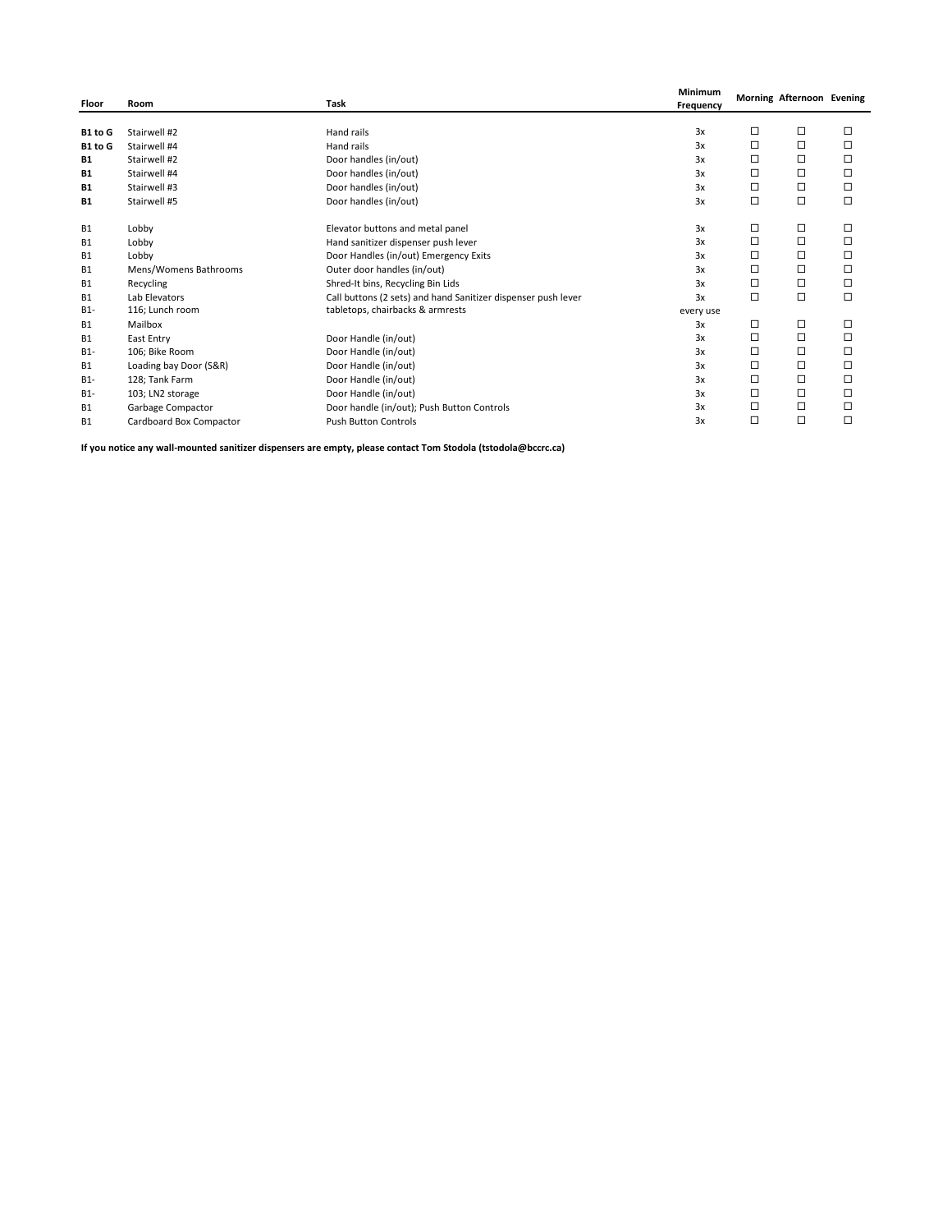| Floor     | Room                    | Task                                                          | Minimum<br>Frequency |   | Morning Afternoon Evening |        |
|-----------|-------------------------|---------------------------------------------------------------|----------------------|---|---------------------------|--------|
| B1 to G   | Stairwell #2            | Hand rails                                                    | 3x                   | □ | □                         | □      |
| B1 to G   | Stairwell #4            | Hand rails                                                    | 3x                   | □ | □                         | □      |
| <b>B1</b> | Stairwell #2            | Door handles (in/out)                                         | 3x                   | □ | □                         | □      |
| <b>B1</b> | Stairwell #4            | Door handles (in/out)                                         | 3x                   | □ | □                         | $\Box$ |
| <b>B1</b> | Stairwell #3            | Door handles (in/out)                                         | 3x                   | □ | □                         | □      |
| <b>B1</b> | Stairwell #5            | Door handles (in/out)                                         | 3x                   | □ | □                         | □      |
| <b>B1</b> | Lobby                   | Elevator buttons and metal panel                              | 3x                   | □ | □                         | □      |
| <b>B1</b> | Lobby                   | Hand sanitizer dispenser push lever                           | 3x                   | □ | □                         | □      |
| <b>B1</b> | Lobby                   | Door Handles (in/out) Emergency Exits                         | 3x                   | □ | □                         | □      |
| <b>B1</b> | Mens/Womens Bathrooms   | Outer door handles (in/out)                                   | 3x                   | □ | □                         | □      |
| <b>B1</b> | Recycling               | Shred-It bins, Recycling Bin Lids                             | 3x                   | □ | □                         | □      |
| <b>B1</b> | Lab Elevators           | Call buttons (2 sets) and hand Sanitizer dispenser push lever | 3x                   | □ | □                         | □      |
| $B1-$     | 116; Lunch room         | tabletops, chairbacks & armrests                              | every use            |   |                           |        |
| <b>B1</b> | Mailbox                 |                                                               | 3x                   | □ | □                         | □      |
| <b>B1</b> | East Entry              | Door Handle (in/out)                                          | 3x                   | □ | □                         | □      |
| $B1-$     | 106; Bike Room          | Door Handle (in/out)                                          | 3x                   | □ | □                         | □      |
| <b>B1</b> | Loading bay Door (S&R)  | Door Handle (in/out)                                          | 3x                   | □ | □                         | □      |
| $B1-$     | 128; Tank Farm          | Door Handle (in/out)                                          | 3x                   | □ | □                         | □      |
| $B1-$     | 103; LN2 storage        | Door Handle (in/out)                                          | 3x                   | □ | □                         | □      |
| <b>B1</b> | Garbage Compactor       | Door handle (in/out); Push Button Controls                    | 3x                   | □ | □                         | □      |
| <b>B1</b> | Cardboard Box Compactor | <b>Push Button Controls</b>                                   | 3x                   | □ | □                         | □      |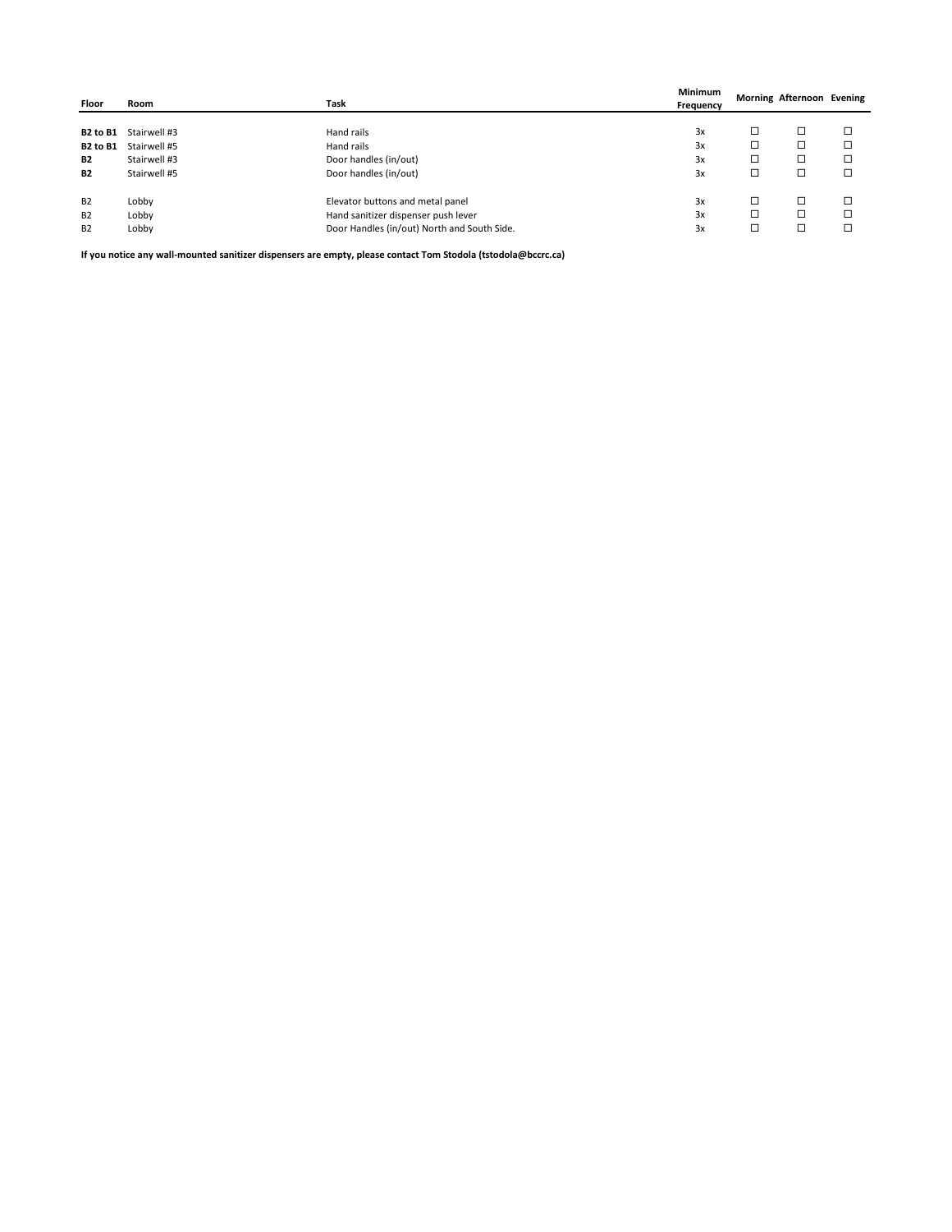| Floor           | Room         | Task                                        | Minimum<br>Frequency |   | Morning Afternoon Evening |  |
|-----------------|--------------|---------------------------------------------|----------------------|---|---------------------------|--|
|                 |              |                                             |                      |   |                           |  |
| <b>B2 to B1</b> | Stairwell #3 | Hand rails                                  | 3x                   | □ | □                         |  |
| <b>B2 to B1</b> | Stairwell #5 | Hand rails                                  | 3x                   | □ | о                         |  |
| <b>B2</b>       | Stairwell #3 | Door handles (in/out)                       | 3x                   | □ | □                         |  |
| <b>B2</b>       | Stairwell #5 | Door handles (in/out)                       | 3x                   | □ | □                         |  |
| <b>B2</b>       | Lobby        | Elevator buttons and metal panel            | 3x                   | □ | □                         |  |
| <b>B2</b>       | Lobby        | Hand sanitizer dispenser push lever         | 3x                   | □ | □                         |  |
| <b>B2</b>       | Lobby        | Door Handles (in/out) North and South Side. | 3x                   | □ | □                         |  |